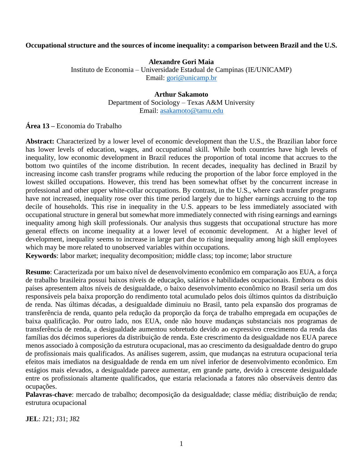# **Occupational structure and the sources of income inequality: a comparison between Brazil and the U.S.**

# **Alexandre Gori Maia**

Instituto de Economia – Universidade Estadual de Campinas (IE/UNICAMP) Email: [gori@unicamp.br](mailto:gori@unicamp.br)

## **Arthur Sakamoto**

Department of Sociology – Texas A&M University Email: [asakamoto@tamu.edu](mailto:asakamoto@tamu.edu)

**Área 13 –** Economia do Trabalho

Abstract: Characterized by a lower level of economic development than the U.S., the Brazilian labor force has lower levels of education, wages, and occupational skill. While both countries have high levels of inequality, low economic development in Brazil reduces the proportion of total income that accrues to the bottom two quintiles of the income distribution. In recent decades, inequality has declined in Brazil by increasing income cash transfer programs while reducing the proportion of the labor force employed in the lowest skilled occupations. However, this trend has been somewhat offset by the concurrent increase in professional and other upper white-collar occupations. By contrast, in the U.S., where cash transfer programs have not increased, inequality rose over this time period largely due to higher earnings accruing to the top decile of households. This rise in inequality in the U.S. appears to be less immediately associated with occupational structure in general but somewhat more immediately connected with rising earnings and earnings inequality among high skill professionals. Our analysis thus suggests that occupational structure has more general effects on income inequality at a lower level of economic development. At a higher level of development, inequality seems to increase in large part due to rising inequality among high skill employees which may be more related to unobserved variables within occupations.

**Keywords**: labor market; inequality decomposition; middle class; top income; labor structure

**Resumo**: Caracterizada por um baixo nível de desenvolvimento econômico em comparação aos EUA, a força de trabalho brasileira possui baixos níveis de educação, salários e habilidades ocupacionais. Embora os dois países apresentem altos níveis de desigualdade, o baixo desenvolvimento econômico no Brasil seria um dos responsáveis pela baixa proporção do rendimento total acumulado pelos dois últimos quintos da distribuição de renda. Nas últimas décadas, a desigualdade diminuiu no Brasil, tanto pela expansão dos programas de transferência de renda, quanto pela redução da proporção da força de trabalho empregada em ocupações de baixa qualificação. Por outro lado, nos EUA, onde não houve mudanças substanciais nos programas de transferência de renda, a desigualdade aumentou sobretudo devido ao expressivo crescimento da renda das famílias dos décimos superiores da distribuição de renda. Este crescrimento da desigualdade nos EUA parece menos associado à composição da estrutura ocupacional, mas ao crescimento da desigualdade dentro do grupo de profissionais mais qualificados. As análises sugerem, assim, que mudanças na estrutura ocupacional teria efeitos mais imediatos na desigualdade de renda em um nível inferior de desenvolvimento econômico. Em estágios mais elevados, a desigualdade parece aumentar, em grande parte, devido à crescente desigualdade entre os profissionais altamente qualificados, que estaria relacionada a fatores não observáveis dentro das ocupações.

**Palavras-chave**: mercado de trabalho; decomposição da desigualdade; classe média; distribuição de renda; estrutura ocupacional

**JEL**: J21; J31; J82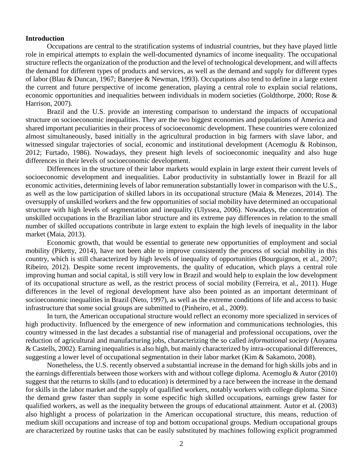### **Introduction**

Occupations are central to the stratification systems of industrial countries, but they have played little role in empirical attempts to explain the well-documented dynamics of income inequality. The occupational structure reflects the organization of the production and the level of technological development, and will affects the demand for different types of products and services, as well as the demand and supply for different types of labor (Blau & Duncan, 1967; Banerjee & Newman, 1993). Occupations also tend to define in a large extent the current and future perspective of income generation, playing a central role to explain social relations, economic opportunities and inequalities between individuals in modern societies (Goldthorpe, 2000; Rose & Harrison, 2007).

Brazil and the U.S. provide an interesting comparison to understand the impacts of occupational structure on socioeconomic inequalities. They are the two biggest economies and populations of America and shared important peculiarities in their process of socioeconomic development. These countries were colonized almost simultaneously, based initially in the agricultural production in big farmers with slave labor, and witnessed singular trajectories of social, economic and institutional development (Acemoglu & Robinson, 2012; Furtado, 1986). Nowadays, they present high levels of socioeconomic inequality and also huge differences in their levels of socioeconomic development.

Differences in the structure of their labor markets would explain in large extent their current levels of socioeconomic development and inequalities. Labor productivity in substantially lower in Brazil for all economic activities, determining levels of labor remuneration substantially lower in comparison with the U.S., as well as the low participation of skilled labors in its occupational structure (Maia & Menezes, 2014). The oversupply of unskilled workers and the few opportunities of social mobility have determined an occupational structure with high levels of segmentation and inequality (Ulyssea, 2006). Nowadays, the concentration of unskilled occupations in the Brazilian labor structure and its extreme pay differences in relation to the small number of skilled occupations contribute in large extent to explain the high levels of inequality in the labor market (Maia, 2013).

Economic growth, that would be essential to generate new opportunities of employment and social mobility (Piketty, 2014), have not been able to improve consistently the process of social mobility in this country, which is still characterized by high levels of inequality of opportunities (Bourguignon, et al., 2007; Ribeiro, 2012). Despite some recent improvements, the quality of education, which plays a central role improving human and social capital, is still very low in Brazil and would help to explain the low development of its occupational structure as well, as the restrict process of social mobility (Ferreira, et al., 2011). Huge differences in the level of regional development have also been pointed as an important determinant of socioeconomic inequalities in Brazil (Neto, 1997), as well as the extreme conditions of life and access to basic infrastructure that some social groups are submitted to (Pinheiro, et al., 2009).

In turn, the American occupational structure would reflect an economy more specialized in services of high productivity. Influenced by the emergence of new information and communications technologies, this country witnessed in the last decades a substantial rise of managerial and professional occupations, over the reduction of agricultural and manufacturing jobs, characterizing the so called *informational society* (Aoyama & Castells, 2002). Earning inequalities is also high, but mainly characterized by intra-occupational differences, suggesting a lower level of occupational segmentation in their labor market (Kim & Sakamoto, 2008).

Nonetheless, the U.S. recently observed a substantial increase in the demand for high skills jobs and in the earnings differentials between those workers with and without college diploma. Acemoglu & Autor (2010) suggest that the returns to skills (and to education) is determined by a race between the increase in the demand for skills in the labor market and the supply of qualified workers, notably workers with college diploma. Since the demand grew faster than supply in some especific high skilled occupations, earnings grew faster for qualified workers, as well as the inequality between the groups of educational attainment. Autor et al. (2003) also highlight a process of polarization in the American occupational structure, this means, reduction of medium skill occupations and increase of top and bottom occupational groups. Medium occupational groups are characterized by routine tasks that can be easily substituted by machines following explicit programmed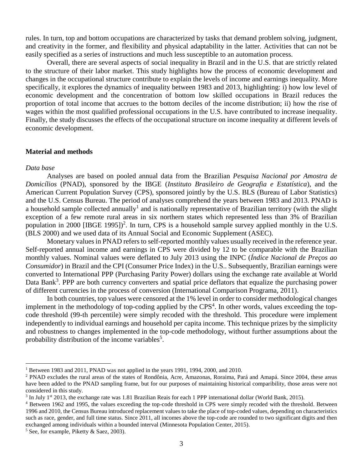rules. In turn, top and bottom occupations are characterized by tasks that demand problem solving, judgment, and creativity in the former, and flexibility and physical adaptability in the latter. Activities that can not be easily specified as a series of instructions and much less susceptible to an automation process.

Overall, there are several aspects of social inequality in Brazil and in the U.S. that are strictly related to the structure of their labor market. This study highlights how the process of economic development and changes in the occupational structure contribute to explain the levels of income and earnings inequality. More specifically, it explores the dynamics of inequality between 1983 and 2013, highlighting: i) how low level of economic development and the concentration of bottom low skilled occupations in Brazil reduces the proportion of total income that accrues to the bottom deciles of the income distribution; ii) how the rise of wages within the most qualified professional occupations in the U.S. have contributed to increase inequality. Finally, the study discusses the effects of the occupational structure on income inequality at different levels of economic development.

#### **Material and methods**

### *Data base*

 $\overline{a}$ 

Analyses are based on pooled annual data from the Brazilian *Pesquisa Nacional por Amostra de Domicílios* (PNAD), sponsored by the IBGE (*Instituto Brasileiro de Geografia e Estatística*), and the American Current Population Survey (CPS), sponsored jointly by the U.S. BLS (Bureau of Labor Statistics) and the U.S. Census Bureau. The period of analyses comprehend the years between 1983 and 2013. PNAD is a household sample collected annually<sup>1</sup> and is nationally representative of Brazilian territory (with the slight exception of a few remote rural areas in six northern states which represented less than 3% of Brazilian population in 2000 [IBGE 1995])<sup>2</sup>. In turn, CPS is a household sample survey applied monthly in the U.S. (BLS 2000) and we used data of its Annual Social and Economic Supplement (ASEC).

Monetary values in PNAD refers to self-reported monthly values usually received in the reference year. Self-reported annual income and earnings in CPS were divided by 12 to be comparable with the Brazilian monthly values. Nominal values were deflated to July 2013 using the INPC (*Índice Nacional de Preços ao Consumidor*) in Brazil and the CPI (Consumer Price Index) in the U.S.. Subsequently, Brazilian earnings were converted to International PPP (Purchasing Parity Power) dollars using the exchange rate available at World Data Bank<sup>3</sup>. PPP are both currency converters and spatial price deflators that equalize the purchasing power of different currencies in the process of conversion (International Comparison Programa, 2011).

In both countries, top values were censored at the 1% level in order to consider methodological changes implement in the methodology of top-coding applied by the CPS<sup>4</sup>. In other words, values exceeding the topcode threshold (99-th percentile) were simply recoded with the threshold. This procedure were implement independently to individual earnings and household per capita income. This technique prizes by the simplicity and robustness to changes implemented in the top-code methodology, without further assumptions about the probability distribution of the income variables<sup>5</sup>.

<sup>1</sup> Between 1983 and 2011, PNAD was not applied in the years 1991, 1994, 2000, and 2010.

<sup>2</sup> PNAD excludes the rural areas of the states of Rondônia, Acre, Amazonas, Roraima, Pará and Amapá. Since 2004, these areas have been added to the PNAD sampling frame, but for our purposes of maintaining historical comparibility, those areas were not considered in this study.

 $3$  In July 1<sup>st</sup> 2013, the exchange rate was 1.81 Brazilian Reais for each 1 PPP international dollar (World Bank, 2015).

<sup>4</sup> Between 1962 and 1995, the values exceeding the top-code threshold in CPS were simply recoded with the threshold. Between 1996 and 2010, the Census Bureau introduced replacement values to take the place of top-coded values, depending on characteristics such as race, gender, and full time status. Since 2011, all incomes above the top-code are rounded to two significant digits and then exchanged among individuals within a bounded interval (Minnesota Population Center, 2015).

 $5$  See, for example, Piketty & Saez, 2003).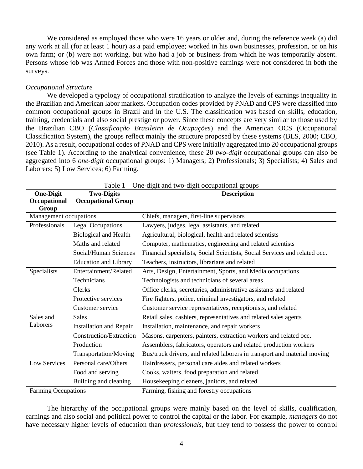We considered as employed those who were 16 years or older and, during the reference week (a) did any work at all (for at least 1 hour) as a paid employee; worked in his own businesses, profession, or on his own farm; or (b) were not working, but who had a job or business from which he was temporarily absent. Persons whose job was Armed Forces and those with non-positive earnings were not considered in both the surveys.

### *Occupational Structure*

We developed a typology of occupational stratification to analyze the levels of earnings inequality in the Brazilian and American labor markets. Occupation codes provided by PNAD and CPS were classified into common occupational groups in Brazil and in the U.S. The classification was based on skills, education, training, credentials and also social prestige or power. Since these concepts are very similar to those used by the Brazilian CBO (*Classificação Brasileira de Ocupações*) and the American OCS (Occupational Classification System), the groups reflect mainly the structure proposed by these systems (BLS, 2000; CBO, 2010). As a result, occupational codes of PNAD and CPS were initially aggregated into 20 occupational groups (see Table 1). According to the analytical convenience, these 20 *two-digit* occupational groups can also be aggregated into 6 *one-digit* occupational groups: 1) Managers; 2) Professionals; 3) Specialists; 4) Sales and Laborers; 5) Low Services; 6) Farming.

| <b>One-Digit</b>           | <b>Two-Digits</b>              | <b>Description</b>                                                         |
|----------------------------|--------------------------------|----------------------------------------------------------------------------|
| Occupational               | <b>Occupational Group</b>      |                                                                            |
| Group                      |                                |                                                                            |
| Management occupations     |                                | Chiefs, managers, first-line supervisors                                   |
| Professionals              | <b>Legal Occupations</b>       | Lawyers, judges, legal assistants, and related                             |
|                            | <b>Biological and Health</b>   | Agricultural, biological, health and related scientists                    |
|                            | Maths and related              | Computer, mathematics, engineering and related scientists                  |
|                            | Social/Human Sciences          | Financial specialists, Social Scientists, Social Services and related occ. |
|                            | <b>Education and Library</b>   | Teachers, instructors, librarians and related                              |
| Specialists                | Entertainment/Related          | Arts, Design, Entertainment, Sports, and Media occupations                 |
|                            | Technicians                    | Technologists and technicians of several areas                             |
|                            | Clerks                         | Office clerks, secretaries, administrative assistants and related          |
|                            | Protective services            | Fire fighters, police, criminal investigators, and related                 |
|                            | Customer service               | Customer service representatives, receptionists, and related               |
| Sales and                  | <b>Sales</b>                   | Retail sales, cashiers, representatives and related sales agents           |
| Laborers                   | <b>Installation and Repair</b> | Installation, maintenance, and repair workers                              |
|                            | Construction/Extraction        | Masons, carpenters, painters, extraction workers and related occ.          |
|                            | Production                     | Assemblers, fabricators, operators and related production workers          |
|                            | <b>Transportation/Moving</b>   | Bus/truck drivers, and related laborers in transport and material moving   |
| Low Services               | Personal care/Others           | Hairdressers, personal care aides and related workers                      |
|                            | Food and serving               | Cooks, waiters, food preparation and related                               |
|                            | Building and cleaning          | Housekeeping cleaners, janitors, and related                               |
| <b>Farming Occupations</b> |                                | Farming, fishing and forestry occupations                                  |

 $T<sub>o</sub>$  ble 1 – One-digit and two-digit

The hierarchy of the occupational groups were mainly based on the level of skills, qualification, earnings and also social and political power to control the capital or the labor. For example, *managers* do not have necessary higher levels of education than *professionals*, but they tend to possess the power to control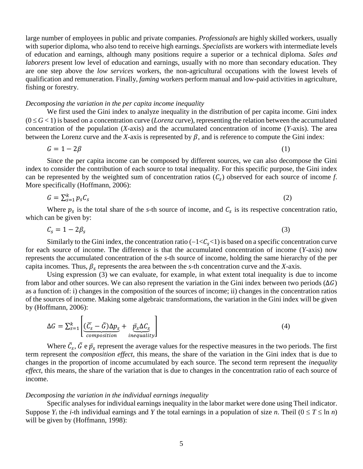large number of employees in public and private companies. *Professionals* are highly skilled workers, usually with superior diploma, who also tend to receive high earnings. *Specialists* are workers with intermediate levels of education and earnings, although many positions require a superior or a technical diploma. *Sales and laborers* present low level of education and earnings, usually with no more than secondary education. They are one step above the *low services* workers, the non-agricultural occupations with the lowest levels of qualification and remuneration. Finally, *faming* workers perform manual and low-paid activities in agriculture, fishing or forestry.

#### *Decomposing the variation in the per capita income inequality*

We first used the Gini index to analyze inequality in the distribution of per capita income. Gini index  $(0 \leq G < 1)$  is based on a concentration curve (*Lorenz* curve), representing the relation between the accumulated concentration of the population (*X*-axis) and the accumulated concentration of income (*Y*-axis). The area between the Lorenz curve and the *X*-axis is represented by  $\beta$ , and is reference to compute the Gini index:

$$
G = 1 - 2\beta \tag{1}
$$

Since the per capita income can be composed by different sources, we can also decompose the Gini index to consider the contribution of each source to total inequality. For this specific purpose, the Gini index can be represented by the weighted sum of concentration ratios  $(C_s)$  observed for each source of income *f*. More specifically (Hoffmann, 2006):

$$
G = \sum_{s=1}^{k} p_s C_s \tag{2}
$$

Where  $p_s$  is the total share of the *s*-th source of income, and  $C_s$  is its respective concentration ratio, which can be given by:

$$
C_s = 1 - 2\beta_s \tag{3}
$$

Similarly to the Gini index, the concentration ratio  $(-1\leq C_s\leq 1)$  is based on a specific concentration curve for each source of income. The difference is that the accumulated concentration of income (*Y*-axis) now represents the accumulated concentration of the *s*-th source of income, holding the same hierarchy of the per capita incomes. Thus,  $\beta_s$  represents the area between the *s*-th concentration curve and the *X*-axis.

Using expression (3) we can evaluate, for example, in what extent total inequality is due to income from labor and other sources. We can also represent the variation in the Gini index between two periods ( $\Delta G$ ) as a function of: i) changes in the composition of the sources of income; ii) changes in the concentration ratios of the sources of income. Making some algebraic transformations, the variation in the Gini index will be given by (Hoffmann, 2006):

$$
\Delta G = \sum_{s=1}^{k} \left[ \underbrace{(\overline{C}_s - \overline{G}) \Delta p_s}_{composition} + \underbrace{\overline{p}_s \Delta C_s}_{inequality} \right]
$$
(4)

Where  $\bar{C}_s$ ,  $\bar{G}$  e  $\bar{p}_s$  represent the average values for the respective measures in the two periods. The first term represent the *composition effect*, this means, the share of the variation in the Gini index that is due to changes in the proportion of income accumulated by each source. The second term represent the *inequality effect*, this means, the share of the variation that is due to changes in the concentration ratio of each source of income.

#### *Decomposing the variation in the individual earnings inequality*

Specific analyses for individual earnings inequality in the labor market were done using Theil indicator. Suppose  $Y_i$  the *i*-th individual earnings and Y the total earnings in a population of size *n*. Theil ( $0 \le T \le \ln n$ ) will be given by (Hoffmann, 1998):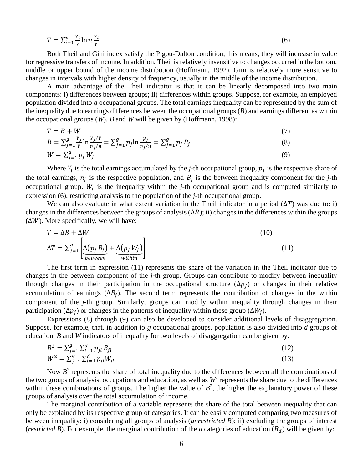$$
T = \sum_{i=1}^{n} \frac{Y_i}{Y} \ln n \frac{Y_i}{Y}
$$
 (6)

Both Theil and Gini index satisfy the Pigou-Dalton condition, this means, they will increase in value for regressive transfers of income. In addition, Theil is relatively insensitive to changes occurred in the bottom, middle or upper bound of the income distribution (Hoffmann, 1992). Gini is relatively more sensitive to changes in intervals with higher density of frequency, usually in the middle of the income distribution.

A main advantage of the Theil indicator is that it can be linearly decomposed into two main components: i) differences between groups; ii) differences within groups. Suppose, for example, an employed population divided into *g* occupational groups. The total earnings inequality can be represented by the sum of the inequality due to earnings differences between the occupational groups (*B*) and earnings differences within the occupational groups (*W*). *B* and *W* will be given by (Hoffmann, 1998):

$$
T = B + W \tag{7}
$$

$$
B = \sum_{j=1}^{g} \frac{Y_j}{Y} \ln \frac{Y_j/Y}{n_j/n} = \sum_{j=1}^{g} p_j \ln \frac{p_j}{n_j/n} = \sum_{j=1}^{g} p_j B_j
$$
(8)

$$
W = \sum_{j=1}^{g} p_j W_j \tag{9}
$$

Where  $Y_j$  is the total earnings accumulated by the *j*-th occupational group,  $p_j$  is the respective share of the total earnings,  $n_j$  is the respective population, and  $B_j$  is the between inequality component for the *j*-th occupational group.  $W_j$  is the inequality within the *j*-th occupational group and is computed similarly to expression (6), restricting analysis to the population of the *j*-th occupational group.

We can also evaluate in what extent variation in the Theil indicator in a period  $(\Delta T)$  was due to: i) changes in the differences between the groups of analysis  $(\Delta B)$ ; ii) changes in the differences within the groups  $(\Delta W)$ . More specifically, we will have:

$$
T = \Delta B + \Delta W
$$
\n
$$
\Delta T = \sum_{j=1}^{g} \left[ \underbrace{\Delta(p_j B_j)}_{between} + \underbrace{\Delta(p_j W_j)}_{within} \right]
$$
\n(10)

The first term in expression (11) represents the share of the variation in the Theil indicator due to changes in the between component of the *j*-th group. Groups can contribute to modify between inequality through changes in their participation in the occupational structure  $(\Delta p_j)$  or changes in their relative accumulation of earnings  $(\Delta B_j)$ . The second term represents the contribution of changes in the within component of the *j*-th group. Similarly, groups can modify within inequality through changes in their participation ( $\Delta p_j$ ) or changes in the patterns of inequality within these group ( $\Delta W_j$ ).

Expressions (8) through (9) can also be developed to consider additional levels of disaggregation. Suppose, for example, that, in addition to *g* occupational groups, population is also divided into *d* groups of education. *B* and *W* indicators of inequality for two levels of disaggregation can be given by:

$$
B^{2} = \sum_{j=1}^{g} \sum_{l=1}^{d} p_{jl} B_{jl}
$$
  
\n
$$
W^{2} = \sum_{j=1}^{g} \sum_{l=1}^{d} p_{jl} W_{jl}
$$
\n(12)

Now  $B<sup>2</sup>$  represents the share of total inequality due to the differences between all the combinations of the two groups of analysis, occupations and education, as well as  $W^2$  represents the share due to the differences within these combinations of groups. The higher the value of  $B^2$ , the higher the explanatory power of these groups of analysis over the total accumulation of income.

The marginal contribution of a variable represents the share of the total between inequality that can only be explained by its respective group of categories. It can be easily computed comparing two measures of between inequality: i) considering all groups of analysis (*unrestricted B*); ii) excluding the groups of interest (*restricted B*). For example, the marginal contribution of the *d* categories of education ( $B_d$ ) will be given by: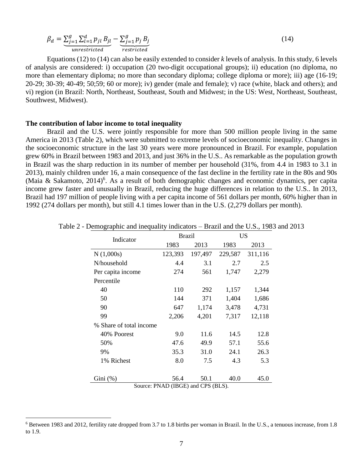$$
\beta_d = \underbrace{\sum_{j=1}^g \sum_{l=1}^d p_{jl} B_{jl}}_{unrestricted} - \underbrace{\sum_{j=1}^g p_j B_j}_{restricted} \tag{14}
$$

Equations (12) to (14) can also be easily extended to consider *k* levels of analysis. In this study, 6 levels of analysis are considered: i) occupation (20 two-digit occupational groups); ii) education (no diploma, no more than elementary diploma; no more than secondary diploma; college diploma or more); iii) age (16-19; 20-29; 30-39; 40-49; 50;59; 60 or more); iv) gender (male and female); v) race (white, black and others); and vi) region (in Brazil: North, Northeast, Southeast, South and Midwest; in the US: West, Northeast, Southeast, Southwest, Midwest).

### **The contribution of labor income to total inequality**

 $\overline{a}$ 

Brazil and the U.S. were jointly responsible for more than 500 million people living in the same America in 2013 (Table 2), which were submitted to extreme levels of socioeconomic inequality. Changes in the socioeconomic structure in the last 30 years were more pronounced in Brazil. For example, population grew 60% in Brazil between 1983 and 2013, and just 36% in the U.S.. As remarkable as the population growth in Brazil was the sharp reduction in its number of member per household (31%, from 4.4 in 1983 to 3.1 in 2013), mainly children under 16, a main consequence of the fast decline in the fertility rate in the 80s and 90s (Maia & Sakamoto, 2014)<sup>6</sup>. As a result of both demographic changes and economic dynamics, per capita income grew faster and unusually in Brazil, reducing the huge differences in relation to the U.S.. In 2013, Brazil had 197 million of people living with a per capita income of 561 dollars per month, 60% higher than in 1992 (274 dollars per month), but still 4.1 times lower than in the U.S. (2,279 dollars per month).

| Indicator               | <b>Brazil</b> |                                                                    | <b>US</b> |         |  |
|-------------------------|---------------|--------------------------------------------------------------------|-----------|---------|--|
|                         | 1983          | 2013                                                               | 1983      | 2013    |  |
| N(1,000s)               | 123,393       | 197,497                                                            | 229,587   | 311,116 |  |
| N/household             | 4.4           | 3.1                                                                | 2.7       | 2.5     |  |
| Per capita income       | 274           | 561                                                                | 1,747     | 2,279   |  |
| Percentile              |               |                                                                    |           |         |  |
| 40                      | 110           | 292                                                                | 1,157     | 1,344   |  |
| 50                      | 144           | 371                                                                | 1,404     | 1,686   |  |
| 90                      | 647           | 1,174                                                              | 3,478     | 4,731   |  |
| 99                      | 2,206         | 4,201                                                              | 7,317     | 12,118  |  |
| % Share of total income |               |                                                                    |           |         |  |
| 40% Poorest             | 9.0           | 11.6                                                               | 14.5      | 12.8    |  |
| 50%                     | 47.6          | 49.9                                                               | 57.1      | 55.6    |  |
| 9%                      | 35.3          | 31.0                                                               | 24.1      | 26.3    |  |
| 1% Richest              | 8.0           | 7.5                                                                | 4.3       | 5.3     |  |
|                         |               |                                                                    |           |         |  |
| $Gini$ $(\%)$           | 56.4          | 50.1<br>$C_{\text{current}}$ , $\text{DMAD}$ (IDCE) and CDC (DI C) | 40.0      | 45.0    |  |

Table 2 - Demographic and inequality indicators – Brazil and the U.S., 1983 and 2013

Source: PNAD (IBGE) and CPS (BLS).

<sup>6</sup> Between 1983 and 2012, fertility rate dropped from 3.7 to 1.8 births per woman in Brazil. In the U.S., a tenuous increase, from 1.8 to 1.9.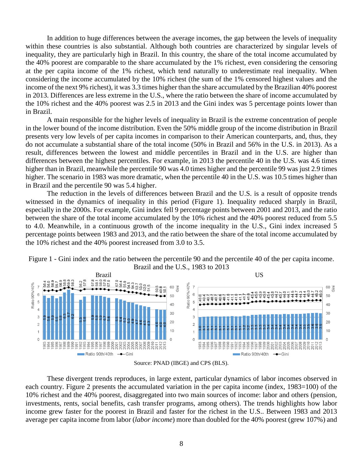In addition to huge differences between the average incomes, the gap between the levels of inequality within these countries is also substantial. Although both countries are characterized by singular levels of inequality, they are particularly high in Brazil. In this country, the share of the total income accumulated by the 40% poorest are comparable to the share accumulated by the 1% richest, even considering the censoring at the per capita income of the 1% richest, which tend naturally to underestimate real inequality. When considering the income accumulated by the 10% richest (the sum of the 1% censored highest values and the income of the next 9% richest), it was 3.3 times higher than the share accumulated by the Brazilian 40% poorest in 2013. Differences are less extreme in the U.S., where the ratio between the share of income accumulated by the 10% richest and the 40% poorest was 2.5 in 2013 and the Gini index was 5 percentage points lower than in Brazil.

A main responsible for the higher levels of inequality in Brazil is the extreme concentration of people in the lower bound of the income distribution. Even the 50% middle group of the income distribution in Brazil presents very low levels of per capita incomes in comparison to their American counterparts, and, thus, they do not accumulate a substantial share of the total income (50% in Brazil and 56% in the U.S. in 2013). As a result, differences between the lowest and middle percentiles in Brazil and in the U.S. are higher than differences between the highest percentiles. For example, in 2013 the percentile 40 in the U.S. was 4.6 times higher than in Brazil, meanwhile the percentile 90 was 4.0 times higher and the percentile 99 was just 2.9 times higher. The scenario in 1983 was more dramatic, when the percentile 40 in the U.S. was 10.5 times higher than in Brazil and the percentile 90 was 5.4 higher.

The reduction in the levels of differences between Brazil and the U.S. is a result of opposite trends witnessed in the dynamics of inequality in this period (Figure 1). Inequality reduced sharply in Brazil, especially in the 2000s. For example, Gini index fell 9 percentage points between 2001 and 2013, and the ratio between the share of the total income accumulated by the 10% richest and the 40% poorest reduced from 5.5 to 4.0. Meanwhile, in a continuous growth of the income inequality in the U.S., Gini index increased 5 percentage points between 1983 and 2013, and the ratio between the share of the total income accumulated by the 10% richest and the 40% poorest increased from 3.0 to 3.5.



Figure 1 - Gini index and the ratio between the percentile 90 and the percentile 40 of the per capita income. Brazil and the U.S., 1983 to 2013



These divergent trends reproduces, in large extent, particular dynamics of labor incomes observed in each country. Figure 2 presents the accumulated variation in the per capita income (index, 1983=100) of the 10% richest and the 40% poorest, disaggregated into two main sources of income: labor and others (pension, investments, rents, social benefits, cash transfer programs, among others). The trends highlights how labor income grew faster for the poorest in Brazil and faster for the richest in the U.S.. Between 1983 and 2013 average per capita income from labor (*labor income*) more than doubled for the 40% poorest (grew 107%) and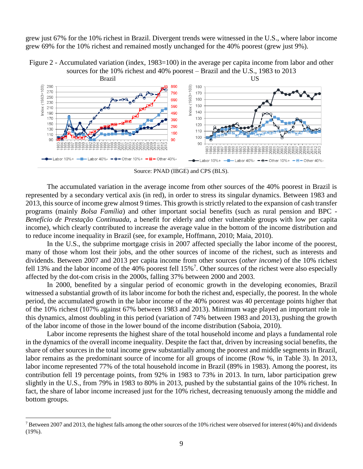grew just 67% for the 10% richest in Brazil. Divergent trends were witnessed in the U.S., where labor income grew 69% for the 10% richest and remained mostly unchanged for the 40% poorest (grew just 9%).

Figure 2 - Accumulated variation (index, 1983=100) in the average per capita income from labor and other sources for the 10% richest and 40% poorest – Brazil and the U.S., 1983 to 2013



Source: PNAD (IBGE) and CPS (BLS).

The accumulated variation in the average income from other sources of the 40% poorest in Brazil is represented by a secondary vertical axis (in red), in order to stress its singular dynamics. Between 1983 and 2013, this source of income grew almost 9 times. This growth is strictly related to the expansion of cash transfer programs (mainly *Bolsa Família*) and other important social benefits (such as rural pension and BPC - *Benefício de Prestação Continuada*, a benefit for elderly and other vulnerable groups with low per capita income), which clearly contributed to increase the average value in the bottom of the income distribution and to reduce income inequality in Brazil (see, for example, Hoffmann, 2010; Maia, 2010).

In the U.S., the subprime mortgage crisis in 2007 affected specially the labor income of the poorest, many of those whom lost their jobs, and the other sources of income of the richest, such as interests and dividends. Between 2007 and 2013 per capita income from other sources (*other income*) of the 10% richest fell 13% and the labor income of the 40% poorest fell  $15\%$ <sup>7</sup>. Other sources of the richest were also especially affected by the dot-com crisis in the 2000s, falling 37% between 2000 and 2003.

In 2000, benefited by a singular period of economic growth in the developing economies, Brazil witnessed a substantial growth of its labor income for both the richest and, especially, the poorest. In the whole period, the accumulated growth in the labor income of the 40% poorest was 40 percentage points higher that of the 10% richest (107% against 67% between 1983 and 2013). Minimum wage played an important role in this dynamics, almost doubling in this period (variation of 74% between 1983 and 2013), pushing the growth of the labor income of those in the lower bound of the income distribution (Saboia, 2010).

Labor income represents the highest share of the total household income and plays a fundamental role in the dynamics of the overall income inequality. Despite the fact that, driven by increasing social benefits, the share of other sources in the total income grew substantially among the poorest and middle segments in Brazil, labor remains as the predominant source of income for all groups of income (Row %, in Table 3). In 2013, labor income represented 77% of the total household income in Brazil (89% in 1983). Among the poorest, its contribution fell 19 percentage points, from 92% in 1983 to 73% in 2013. In turn, labor participation grew slightly in the U.S., from 79% in 1983 to 80% in 2013, pushed by the substantial gains of the 10% richest. In fact, the share of labor income increased just for the 10% richest, decreasing tenuously among the middle and bottom groups.

 $7$  Between 2007 and 2013, the highest falls among the other sources of the 10% richest were observed for interest (46%) and dividends (19%).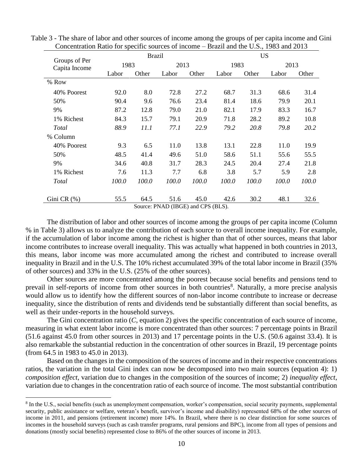|                                |       | <b>Brazil</b> |                                    |       |       | <b>US</b> |       |       |  |
|--------------------------------|-------|---------------|------------------------------------|-------|-------|-----------|-------|-------|--|
| Groups of Per<br>Capita Income |       | 1983          |                                    | 2013  |       | 1983      | 2013  |       |  |
|                                | Labor | Other         | Labor                              | Other | Labor | Other     | Labor | Other |  |
| % Row                          |       |               |                                    |       |       |           |       |       |  |
| 40% Poorest                    | 92.0  | 8.0           | 72.8                               | 27.2  | 68.7  | 31.3      | 68.6  | 31.4  |  |
| 50%                            | 90.4  | 9.6           | 76.6                               | 23.4  | 81.4  | 18.6      | 79.9  | 20.1  |  |
| 9%                             | 87.2  | 12.8          | 79.0                               | 21.0  | 82.1  | 17.9      | 83.3  | 16.7  |  |
| 1% Richest                     | 84.3  | 15.7          | 79.1                               | 20.9  | 71.8  | 28.2      | 89.2  | 10.8  |  |
| Total                          | 88.9  | 11.1          | 77.1                               | 22.9  | 79.2  | 20.8      | 79.8  | 20.2  |  |
| % Column                       |       |               |                                    |       |       |           |       |       |  |
| 40% Poorest                    | 9.3   | 6.5           | 11.0                               | 13.8  | 13.1  | 22.8      | 11.0  | 19.9  |  |
| 50%                            | 48.5  | 41.4          | 49.6                               | 51.0  | 58.6  | 51.1      | 55.6  | 55.5  |  |
| 9%                             | 34.6  | 40.8          | 31.7                               | 28.3  | 24.5  | 20.4      | 27.4  | 21.8  |  |
| 1% Richest                     | 7.6   | 11.3          | 7.7                                | 6.8   | 3.8   | 5.7       | 5.9   | 2.8   |  |
| Total                          | 100.0 | 100.0         | 100.0                              | 100.0 | 100.0 | 100.0     | 100.0 | 100.0 |  |
| Gini CR $(\% )$                | 55.5  | 64.5          | 51.6                               | 45.0  | 42.6  | 30.2      | 48.1  | 32.6  |  |
|                                |       |               | Source: PNAD (IBGE) and CPS (BLS). |       |       |           |       |       |  |

Table 3 - The share of labor and other sources of income among the groups of per capita income and Gini Concentration Ratio for specific sources of income – Brazil and the U.S., 1983 and 2013

The distribution of labor and other sources of income among the groups of per capita income (Column % in Table 3) allows us to analyze the contribution of each source to overall income inequality. For example, if the accumulation of labor income among the richest is higher than that of other sources, means that labor income contributes to increase overall inequality. This was actually what happened in both countries in 2013, this means, labor income was more accumulated among the richest and contributed to increase overall inequality in Brazil and in the U.S. The 10% richest accumulated 39% of the total labor income in Brazil (35% of other sources) and 33% in the U.S. (25% of the other sources).

Other sources are more concentrated among the poorest because social benefits and pensions tend to prevail in self-reports of income from other sources in both countries<sup>8</sup>. Naturally, a more precise analysis would allow us to identify how the different sources of non-labor income contribute to increase or decrease inequality, since the distribution of rents and dividends tend be substantially different than social benefits, as well as their under-reports in the household surveys.

The Gini concentration ratio (*C*, equation 2) gives the specific concentration of each source of income, measuring in what extent labor income is more concentrated than other sources: 7 percentage points in Brazil (51.6 against 45.0 from other sources in 2013) and 17 percentage points in the U.S. (50.6 against 33.4). It is also remarkable the substantial reduction in the concentration of other sources in Brazil, 19 percentage points (from 64.5 in 1983 to 45.0 in 2013).

Based on the changes in the composition of the sources of income and in their respective concentrations ratios, the variation in the total Gini index can now be decomposed into two main sources (equation 4): 1) *composition effect*, variation due to changes in the composition of the sources of income; 2) *inequality effect*, variation due to changes in the concentration ratio of each source of income. The most substantial contribution

<sup>&</sup>lt;sup>8</sup> In the U.S., social benefits (such as unemployment compensation, worker's compensation, social security payments, supplemental security, public assistance or welfare, veteran's benefit, survivor's income and disability) represented 68% of the other sources of income in 2011, and pensions (retirement income) more 14%. In Brazil, where there is no clear distinction for some sources of incomes in the household surveys (such as cash transfer programs, rural pensions and BPC), income from all types of pensions and donations (mostly social benefits) represented close to 86% of the other sources of income in 2013.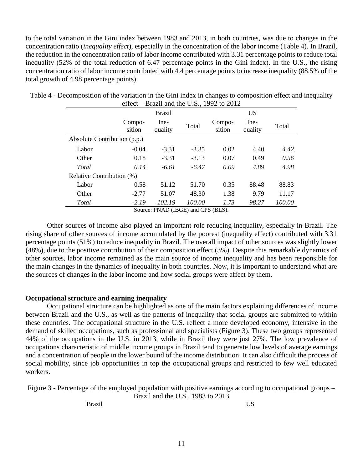to the total variation in the Gini index between 1983 and 2013, in both countries, was due to changes in the concentration ratio (*inequality effect*), especially in the concentration of the labor income (Table 4). In Brazil, the reduction in the concentration ratio of labor income contributed with 3.31 percentage points to reduce total inequality (52% of the total reduction of 6.47 percentage points in the Gini index). In the U.S., the rising concentration ratio of labor income contributed with 4.4 percentage points to increase inequality (88.5% of the total growth of 4.98 percentage points).

| UILUU<br>Drazil and the $0.51$ , $1772$ to $2012$ |                  |                 |         |                  |                 |               |  |  |
|---------------------------------------------------|------------------|-----------------|---------|------------------|-----------------|---------------|--|--|
|                                                   |                  | <b>Brazil</b>   |         |                  | <b>US</b>       |               |  |  |
|                                                   | Compo-<br>sition | Ine-<br>quality | Total   | Compo-<br>sition | Ine-<br>quality | Total         |  |  |
| Absolute Contribution (p.p.)                      |                  |                 |         |                  |                 |               |  |  |
| Labor                                             | $-0.04$          | $-3.31$         | $-3.35$ | 0.02             | 4.40            | 4.42          |  |  |
| Other                                             | 0.18             | $-3.31$         | $-3.13$ | 0.07             | 0.49            | 0.56          |  |  |
| Total                                             | 0.14             | $-6.61$         | $-6.47$ | 0.09             | 4.89            | 4.98          |  |  |
| Relative Contribution (%)                         |                  |                 |         |                  |                 |               |  |  |
| Labor                                             | 0.58             | 51.12           | 51.70   | 0.35             | 88.48           | 88.83         |  |  |
| Other                                             | $-2.77$          | 51.07           | 48.30   | 1.38             | 9.79            | 11.17         |  |  |
| Total                                             | $-2.19$          | 102.19          | 100.00  | 1.73             | 98.27           | <i>100.00</i> |  |  |

Table 4 - Decomposition of the variation in the Gini index in changes to composition effect and inequality effect – Brazil and the U.S., 1992 to 2012

Source: PNAD (IBGE) and CPS (BLS).

Other sources of income also played an important role reducing inequality, especially in Brazil. The rising share of other sources of income accumulated by the poorest (inequality effect) contributed with 3.31 percentage points (51%) to reduce inequality in Brazil. The overall impact of other sources was slightly lower (48%), due to the positive contribution of their composition effect (3%). Despite this remarkable dynamics of other sources, labor income remained as the main source of income inequality and has been responsible for the main changes in the dynamics of inequality in both countries. Now, it is important to understand what are the sources of changes in the labor income and how social groups were affect by them.

# **Occupational structure and earning inequality**

Occupational structure can be highlighted as one of the main factors explaining differences of income between Brazil and the U.S., as well as the patterns of inequality that social groups are submitted to within these countries. The occupational structure in the U.S. reflect a more developed economy, intensive in the demand of skilled occupations, such as professional and specialists (Figure 3). These two groups represented 44% of the occupations in the U.S. in 2013, while in Brazil they were just 27%. The low prevalence of occupations characteristic of middle income groups in Brazil tend to generate low levels of average earnings and a concentration of people in the lower bound of the income distribution. It can also difficult the process of social mobility, since job opportunities in top the occupational groups and restricted to few well educated workers.

Figure 3 - Percentage of the employed population with positive earnings according to occupational groups –

Brazil and the U.S., 1983 to 2013

Brazil US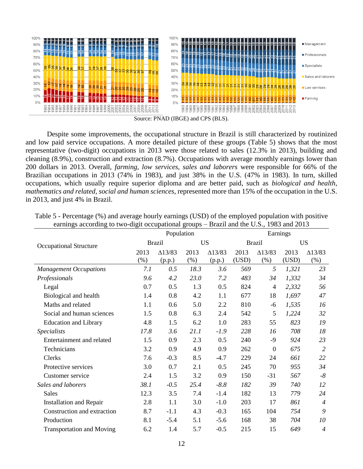

Despite some improvements, the occupational structure in Brazil is still characterized by routinized and low paid service occupations. A more detailed picture of these groups (Table 5) shows that the most representative (two-digit) occupations in 2013 were those related to sales (12.3% in 2013), building and cleaning (8.9%), construction and extraction (8.7%). Occupations with average monthly earnings lower than 200 dollars in 2013. Overall, *farming*, *low services*, *sales and laborers* were responsible for 66% of the Brazilian occupations in 2013 (74% in 1983), and just 38% in the U.S. (47% in 1983). In turn, skilled occupations, which usually require superior diploma and are better paid, such as *biological and health*, *mathematics and related*, *social and human sciences*, represented more than 15% of the occupation in the U.S. in 2013, and just 4% in Brazil.

|                                  |               | to the argit occupational groups |        |                | $P_{\text{H}}$ and the $\sigma_{\text{H}}$<br>Earnings |                |           |                |
|----------------------------------|---------------|----------------------------------|--------|----------------|--------------------------------------------------------|----------------|-----------|----------------|
|                                  |               | Population                       |        |                |                                                        |                |           |                |
| <b>Occupational Structure</b>    | <b>Brazil</b> |                                  |        | <b>US</b>      |                                                        | <b>Brazil</b>  | <b>US</b> |                |
|                                  | 2013          | $\Delta$ 13/83                   | 2013   | $\Delta$ 13/83 | 2013                                                   | $\Delta$ 13/83 | 2013      | $\Delta$ 13/83 |
|                                  | (% )          | (p.p.)                           | $(\%)$ | (p.p.)         | (USD)                                                  | $(\% )$        | (USD)     | $(\%)$         |
| <b>Management Occupations</b>    | 7.1           | 0.5                              | 18.3   | 3.6            | 569                                                    | 5              | 1,321     | 23             |
| Professionals                    | 9.6           | 4.2                              | 23.0   | 7.2            | 483                                                    | 34             | 1,332     | 34             |
| Legal                            | 0.7           | 0.5                              | 1.3    | 0.5            | 824                                                    | $\overline{4}$ | 2,332     | 56             |
| Biological and health            | 1.4           | 0.8                              | 4.2    | 1.1            | 677                                                    | 18             | 1,697     | 47             |
| Maths and related                | 1.1           | 0.6                              | 5.0    | 2.2            | 810                                                    | -6             | 1,535     | 16             |
| Social and human sciences        | 1.5           | 0.8                              | 6.3    | 2.4            | 542                                                    | 5              | 1,224     | 32             |
| <b>Education and Library</b>     | 4.8           | 1.5                              | 6.2    | 1.0            | 283                                                    | 55             | 823       | 19             |
| <i>Specialists</i>               | 17.8          | 3.6                              | 21.1   | $-1.9$         | 228                                                    | 16             | 708       | 18             |
| Entertainment and related        | 1.5           | 0.9                              | 2.3    | 0.5            | 240                                                    | -9             | 924       | 23             |
| Technicians                      | 3.2           | 0.9                              | 4.9    | 0.9            | 262                                                    | $\mathbf{0}$   | 675       | $\overline{2}$ |
| Clerks                           | 7.6           | $-0.3$                           | 8.5    | $-4.7$         | 229                                                    | 24             | 661       | 22             |
| Protective services              | 3.0           | 0.7                              | 2.1    | 0.5            | 245                                                    | 70             | 955       | 34             |
| Customer service                 | 2.4           | 1.5                              | 3.2    | 0.9            | 150                                                    | $-31$          | 567       | $-8$           |
| Sales and laborers               | 38.1          | $-0.5$                           | 25.4   | $-8.8$         | 182                                                    | 39             | 740       | 12             |
| <b>Sales</b>                     | 12.3          | 3.5                              | 7.4    | $-1.4$         | 182                                                    | 13             | 779       | 24             |
| <b>Installation and Repair</b>   | 2.8           | 1.1                              | 3.0    | $-1.0$         | 203                                                    | 17             | 861       | $\overline{4}$ |
| Construction and extraction      | 8.7           | $-1.1$                           | 4.3    | $-0.3$         | 165                                                    | 104            | 754       | 9              |
| Production                       | 8.1           | $-5.4$                           | 5.1    | $-5.6$         | 168                                                    | 38             | 704       | 10             |
| <b>Transportation and Moving</b> | 6.2           | 1.4                              | 5.7    | $-0.5$         | 215                                                    | 15             | 649       | $\overline{4}$ |

|  | Table 5 - Percentage (%) and average hourly earnings (USD) of the employed population with positive |  |  |  |  |
|--|-----------------------------------------------------------------------------------------------------|--|--|--|--|
|  | earnings according to two-digit occupational groups – Brazil and the U.S., 1983 and 2013            |  |  |  |  |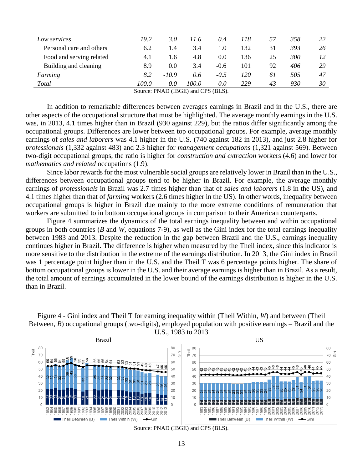| Low services                       | 19.2  | 3.0     | 11.6  | 0.4    | 118 | 57 | 358 | 22 |
|------------------------------------|-------|---------|-------|--------|-----|----|-----|----|
| Personal care and others           | 6.2   | 1.4     | 3.4   | 1.0    | 132 | 31 | 393 | 26 |
| Food and serving related           | 4.1   | 1.6     | 4.8   | 0.0    | 136 | 25 | 300 | 12 |
| Building and cleaning              | 8.9   | 0.0     | 3.4   | $-0.6$ | 101 | 92 | 406 | 29 |
| Farming                            | 8.2   | $-10.9$ | 0.6   | $-0.5$ | 120 | 61 | 505 | 47 |
| <b>Total</b>                       | 100.0 | 0.0     | 100.0 | 0.0    | 229 | 43 | 930 | 30 |
| Source: PNAD (IBGE) and CPS (BLS). |       |         |       |        |     |    |     |    |

In addition to remarkable differences between averages earnings in Brazil and in the U.S., there are other aspects of the occupational structure that must be highlighted. The average monthly earnings in the U.S. was, in 2013, 4.1 times higher than in Brazil (930 against 229), but the ratios differ significantly among the occupational groups. Differences are lower between top occupational groups. For example, average monthly earnings of *sales and laborers* was 4.1 higher in the U.S. (740 against 182 in 2013), and just 2.8 higher for *professionals* (1,332 against 483) and 2.3 higher for *management occupations* (1,321 against 569). Between two-digit occupational groups, the ratio is higher for *construction and extraction* workers (4.6) and lower for *mathematics and related* occupations (1.9).

Since labor rewards for the most vulnerable social groups are relatively lower in Brazil than in the U.S., differences between occupational groups tend to be higher in Brazil. For example, the average monthly earnings of *professionals* in Brazil was 2.7 times higher than that of *sales and laborers* (1.8 in the US), and 4.1 times higher than that of *farming* workers (2.6 times higher in the US). In other words, inequality between occupational groups is higher in Brazil due mainly to the more extreme conditions of remuneration that workers are submitted to in bottom occupational groups in comparison to their American counterparts.

Figure 4 summarizes the dynamics of the total earnings inequality between and within occupational groups in both countries (*B* and *W*, equations 7-9), as well as the Gini index for the total earnings inequality between 1983 and 2013. Despite the reduction in the gap between Brazil and the U.S., earnings inequality continues higher in Brazil. The difference is higher when measured by the Theil index, since this indicator is more sensitive to the distribution in the extreme of the earnings distribution. In 2013, the Gini index in Brazil was 1 percentage point higher than in the U.S. and the Theil T was 6 percentage points higher. The share of bottom occupational groups is lower in the U.S. and their average earnings is higher than in Brazil. As a result, the total amount of earnings accumulated in the lower bound of the earnings distribution is higher in the U.S. than in Brazil.

Figure 4 - Gini index and Theil T for earning inequality within (Theil Within, *W*) and between (Theil Between, *B*) occupational groups (two-digits), employed population with positive earnings – Brazil and the U.S., 1983 to 2013

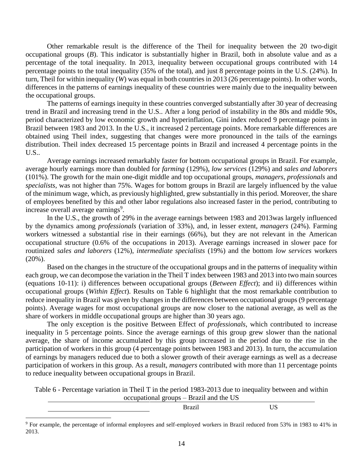Other remarkable result is the difference of the Theil for inequality between the 20 two-digit occupational groups (*B*). This indicator is substantially higher in Brazil, both in absolute value and as a percentage of the total inequality. In 2013, inequality between occupational groups contributed with 14 percentage points to the total inequality (35% of the total), and just 8 percentage points in the U.S. (24%). In turn, Theil for within inequality (*W*) was equal in both countries in 2013 (26 percentage points). In other words, differences in the patterns of earnings inequality of these countries were mainly due to the inequality between the occupational groups.

The patterns of earnings inequity in these countries converged substantially after 30 year of decreasing trend in Brazil and increasing trend in the U.S.. After a long period of instability in the 80s and middle 90s, period characterized by low economic growth and hyperinflation, Gini index reduced 9 percentage points in Brazil between 1983 and 2013. In the U.S., it increased 2 percentage points. More remarkable differences are obtained using Theil index, suggesting that changes were more pronounced in the tails of the earnings distribution. Theil index decreased 15 percentage points in Brazil and increased 4 percentage points in the U.S..

Average earnings increased remarkably faster for bottom occupational groups in Brazil. For example, average hourly earnings more than doubled for *farming* (129%), *low services* (129%) and *sales and laborers* (101%). The growth for the main one-digit middle and top occupational groups, *managers*, *professionals* and *specialists*, was not higher than 75%. Wages for bottom groups in Brazil are largely influenced by the value of the minimum wage, which, as previously highlighted, grew substantially in this period. Moreover, the share of employees benefited by this and other labor regulations also increased faster in the period, contributing to increase overall average earnings<sup>9</sup>.

In the U.S., the growth of 29% in the average earnings between 1983 and 2013was largely influenced by the dynamics among *professionals* (variation of 33%), and, in lesser extent, *managers* (24%). Farming workers witnessed a substantial rise in their earnings (66%), but they are not relevant in the American occupational structure (0.6% of the occupations in 2013). Average earnings increased in slower pace for routinized *sales and laborers* (12%), *intermediate specialists* (19%) and the bottom *low services* workers (20%).

Based on the changes in the structure of the occupational groups and in the patterns of inequality within each group, we can decompose the variation in the Theil T index between 1983 and 2013 into two main sources (equations 10-11): i) differences between occupational groups (*Between Effect*); and ii) differences within occupational groups (*Within Effect*). Results on Table 6 highlight that the most remarkable contribution to reduce inequality in Brazil was given by changes in the differences between occupational groups (9 percentage points). Average wages for most occupational groups are now closer to the national average, as well as the share of workers in middle occupational groups are higher than 30 years ago.

The only exception is the positive Between Effect of *professionals*, which contributed to increase inequality in 5 percentage points. Since the average earnings of this group grew slower than the national average, the share of income accumulated by this group increased in the period due to the rise in the participation of workers in this group (4 percentage points between 1983 and 2013). In turn, the accumulation of earnings by managers reduced due to both a slower growth of their average earnings as well as a decrease participation of workers in this group. As a result, *managers* contributed with more than 11 percentage points to reduce inequality between occupational groups in Brazil.

Table 6 - Percentage variation in Theil T in the period 1983-2013 due to inequality between and within occupational groups – Brazil and the US

Brazil US

<sup>9</sup> For example, the percentage of informal employees and self-employed workers in Brazil reduced from 53% in 1983 to 41% in 2013.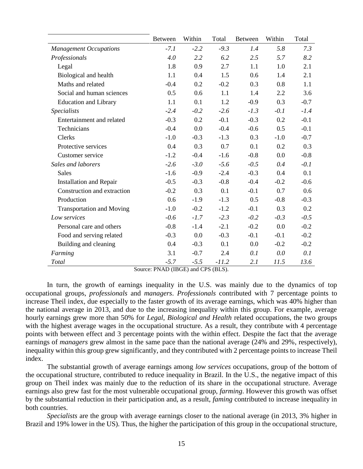|                                  | <b>Between</b>                                                             | Within | Total                     | <b>Between</b> | Within | Total  |
|----------------------------------|----------------------------------------------------------------------------|--------|---------------------------|----------------|--------|--------|
| <b>Management Occupations</b>    | $-7.1$                                                                     | $-2.2$ | $-9.3$                    | 1.4            | 5.8    | 7.3    |
| Professionals                    | 4.0                                                                        | 2.2    | 6.2                       | 2.5            | 5.7    | 8.2    |
| Legal                            | 1.8                                                                        | 0.9    | 2.7                       | 1.1            | 1.0    | 2.1    |
| Biological and health            | 1.1                                                                        | 0.4    | 1.5                       | 0.6            | 1.4    | 2.1    |
| Maths and related                | $-0.4$                                                                     | 0.2    | $-0.2$                    | 0.3            | 0.8    | 1.1    |
| Social and human sciences        | 0.5                                                                        | 0.6    | 1.1                       | 1.4            | 2.2    | 3.6    |
| <b>Education and Library</b>     | 1.1                                                                        | 0.1    | 1.2                       | $-0.9$         | 0.3    | $-0.7$ |
| <b>Specialists</b>               | $-2.4$                                                                     | $-0.2$ | $-2.6$                    | $-1.3$         | $-0.1$ | $-1.4$ |
| Entertainment and related        | $-0.3$                                                                     | 0.2    | $-0.1$                    | $-0.3$         | 0.2    | $-0.1$ |
| Technicians                      | $-0.4$                                                                     | 0.0    | $-0.4$                    | $-0.6$         | 0.5    | $-0.1$ |
| Clerks                           | $-1.0$                                                                     | $-0.3$ | $-1.3$                    | 0.3            | $-1.0$ | $-0.7$ |
| Protective services              | 0.4                                                                        | 0.3    | 0.7                       | 0.1            | 0.2    | 0.3    |
| Customer service                 | $-1.2$                                                                     | $-0.4$ | $-1.6$                    | $-0.8$         | 0.0    | $-0.8$ |
| Sales and laborers               | $-2.6$                                                                     | $-3.0$ | $-5.6$                    | $-0.5$         | 0.4    | $-0.1$ |
| <b>Sales</b>                     | $-1.6$                                                                     | $-0.9$ | $-2.4$                    | $-0.3$         | 0.4    | 0.1    |
| <b>Installation and Repair</b>   | $-0.5$                                                                     | $-0.3$ | $-0.8$                    | $-0.4$         | $-0.2$ | $-0.6$ |
| Construction and extraction      | $-0.2$                                                                     | 0.3    | 0.1                       | $-0.1$         | 0.7    | 0.6    |
| Production                       | 0.6                                                                        | $-1.9$ | $-1.3$                    | 0.5            | $-0.8$ | $-0.3$ |
| <b>Transportation and Moving</b> | $-1.0$                                                                     | $-0.2$ | $-1.2$                    | $-0.1$         | 0.3    | 0.2    |
| Low services                     | $-0.6$                                                                     | $-1.7$ | $-2.3$                    | $-0.2$         | $-0.3$ | $-0.5$ |
| Personal care and others         | $-0.8$                                                                     | $-1.4$ | $-2.1$                    | $-0.2$         | 0.0    | $-0.2$ |
| Food and serving related         | $-0.3$                                                                     | 0.0    | $-0.3$                    | $-0.1$         | $-0.1$ | $-0.2$ |
| Building and cleaning            | 0.4                                                                        | $-0.3$ | 0.1                       | 0.0            | $-0.2$ | $-0.2$ |
| Farming                          | 3.1                                                                        | $-0.7$ | 2.4                       | 0.1            | 0.0    | 0.1    |
| Total<br>$\Omega$ .              | $-5.7$<br>$\mathbf{M}$ $\mathbf{M}$ $\mathbf{D}$ $\mathbf{M}$ $\mathbf{D}$ | $-5.5$ | $-11.2$<br>$1$ CDC $(DI)$ | 2.1            | 11.5   | 13.6   |

Source: PNAD (IBGE) and CPS (BLS).

In turn, the growth of earnings inequality in the U.S. was mainly due to the dynamics of top occupational groups, *professionals* and *managers*. *Professionals* contributed with 7 percentage points to increase Theil index, due especially to the faster growth of its average earnings, which was 40% higher than the national average in 2013, and due to the increasing inequality within this group. For example, average hourly earnings grew more than 50% for *Legal*, *Biological and Health* related occupations, the two groups with the highest average wages in the occupational structure. As a result, they contribute with 4 percentage points with between effect and 3 percentage points with the within effect. Despite the fact that the average earnings of *managers* grew almost in the same pace than the national average (24% and 29%, respectively), inequality within this group grew significantly, and they contributed with 2 percentage points to increase Theil index.

The substantial growth of average earnings among *low services* occupations, group of the bottom of the occupational structure, contributed to reduce inequality in Brazil. In the U.S., the negative impact of this group on Theil index was mainly due to the reduction of its share in the occupational structure. Average earnings also grew fast for the most vulnerable occupational group, *farming*. However this growth was offset by the substantial reduction in their participation and, as a result, *faming* contributed to increase inequality in both countries.

*Specialists* are the group with average earnings closer to the national average (in 2013, 3% higher in Brazil and 19% lower in the US). Thus, the higher the participation of this group in the occupational structure,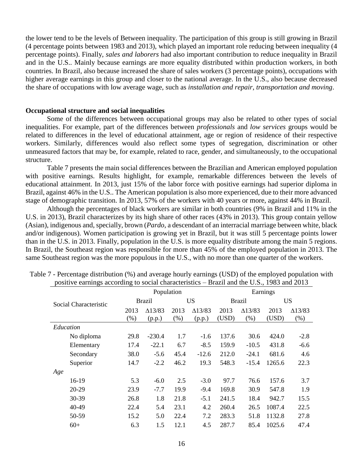the lower tend to be the levels of Between inequality. The participation of this group is still growing in Brazil (4 percentage points between 1983 and 2013), which played an important role reducing between inequality (4 percentage points). Finally, *sales and laborers* had also important contribution to reduce inequality in Brazil and in the U.S.. Mainly because earnings are more equality distributed within production workers, in both countries. In Brazil, also because increased the share of sales workers (3 percentage points), occupations with higher average earnings in this group and closer to the national average. In the U.S., also because decreased the share of occupations with low average wage, such as *installation and repair*, *transportation and moving*.

### **Occupational structure and social inequalities**

Some of the differences between occupational groups may also be related to other types of social inequalities. For example, part of the differences between *professionals* and *low services* groups would be related to differences in the level of educational attainment, age or region of residence of their respective workers. Similarly, differences would also reflect some types of segregation, discrimination or other unmeasured factors that may be, for example, related to race, gender, and simultaneously, to the occupational structure.

Table 7 presents the main social differences between the Brazilian and American employed population with positive earnings. Results highlight, for example, remarkable differences between the levels of educational attainment. In 2013, just 15% of the labor force with positive earnings had superior diploma in Brazil, against 46% in the U.S.. The American population is also more experienced, due to their more advanced stage of demographic transition. In 2013, 57% of the workers with 40 years or more, against 44% in Brazil.

Although the percentages of black workers are similar in both countries (9% in Brazil and 11% in the U.S. in 2013), Brazil characterizes by its high share of other races (43% in 2013). This group contain yellow (Asian), indigenous and, specially, brown (*Pardo*, a descendant of an interracial marriage between white, black and/or indigenous). Women participation is growing yet in Brazil, but it was still 5 percentage points lower than in the U.S. in 2013. Finally, population in the U.S. is more equality distribute among the main 5 regions. In Brazil, the Southeast region was responsible for more than 45% of the employed population in 2013. The same Southeast region was the more populous in the U.S., with no more than one quarter of the workers.

| positive carmings according to social enaracteristics |      |                |            |                |          | $D_1$ and the $\sigma$ , 1909 and 2019 |        |                |  |
|-------------------------------------------------------|------|----------------|------------|----------------|----------|----------------------------------------|--------|----------------|--|
|                                                       |      |                | Population |                | Earnings |                                        |        |                |  |
| Social Characteristic                                 |      | <b>Brazil</b>  |            | US.            |          | <b>Brazil</b>                          |        | US             |  |
|                                                       | 2013 | $\Delta$ 13/83 | 2013       | $\Delta$ 13/83 | 2013     | $\Delta$ 13/83                         | 2013   | $\Delta$ 13/83 |  |
|                                                       | (% ) | (p.p.)         | (% )       | (p.p.)         | (USD)    | (% )                                   | (USD)  | (% )           |  |
| Education                                             |      |                |            |                |          |                                        |        |                |  |
| No diploma                                            | 29.8 | $-230.4$       | 1.7        | $-1.6$         | 137.6    | 30.6                                   | 424.0  | $-2.8$         |  |
| Elementary                                            | 17.4 | $-22.1$        | 6.7        | $-8.5$         | 159.9    | $-10.5$                                | 431.8  | $-6.6$         |  |
| Secondary                                             | 38.0 | $-5.6$         | 45.4       | $-12.6$        | 212.0    | $-24.1$                                | 681.6  | 4.6            |  |
| Superior                                              | 14.7 | $-2.2$         | 46.2       | 19.3           | 548.3    | $-15.4$                                | 1265.6 | 22.3           |  |
| Age                                                   |      |                |            |                |          |                                        |        |                |  |
| 16-19                                                 | 5.3  | $-6.0$         | 2.5        | $-3.0$         | 97.7     | 76.6                                   | 157.6  | 3.7            |  |
| 20-29                                                 | 23.9 | $-7.7$         | 19.9       | $-9.4$         | 169.8    | 30.9                                   | 547.8  | 1.9            |  |
| 30-39                                                 | 26.8 | 1.8            | 21.8       | $-5.1$         | 241.5    | 18.4                                   | 942.7  | 15.5           |  |
| 40-49                                                 | 22.4 | 5.4            | 23.1       | 4.2            | 260.4    | 26.5                                   | 1087.4 | 22.5           |  |
| 50-59                                                 | 15.2 | 5.0            | 22.4       | 7.2            | 283.3    | 51.8                                   | 1132.8 | 27.8           |  |
| $60+$                                                 | 6.3  | 1.5            | 12.1       | 4.5            | 287.7    | 85.4                                   | 1025.6 | 47.4           |  |

| Table 7 - Percentage distribution (%) and average hourly earnings (USD) of the employed population with |  |
|---------------------------------------------------------------------------------------------------------|--|
| positive earnings according to social characteristics – Brazil and the U.S., 1983 and 2013              |  |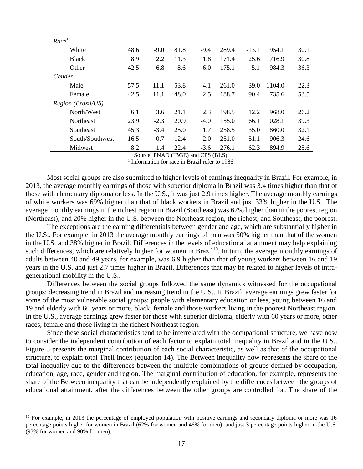| Race <sup>1</sup>  |      |         |      |        |       |         |        |      |
|--------------------|------|---------|------|--------|-------|---------|--------|------|
| White              | 48.6 | $-9.0$  | 81.8 | $-9.4$ | 289.4 | $-13.1$ | 954.1  | 30.1 |
| <b>Black</b>       | 8.9  | 2.2     | 11.3 | 1.8    | 171.4 | 25.6    | 716.9  | 30.8 |
| Other              | 42.5 | 6.8     | 8.6  | 6.0    | 175.1 | $-5.1$  | 984.3  | 36.3 |
| Gender             |      |         |      |        |       |         |        |      |
| Male               | 57.5 | $-11.1$ | 53.8 | $-4.1$ | 261.0 | 39.0    | 1104.0 | 22.3 |
| Female             | 42.5 | 11.1    | 48.0 | 2.5    | 188.7 | 90.4    | 735.6  | 53.5 |
| Region (Brazil/US) |      |         |      |        |       |         |        |      |
| North/West         | 6.1  | 3.6     | 21.1 | 2.3    | 198.5 | 12.2    | 968.0  | 26.2 |
| <b>Northeast</b>   | 23.9 | $-2.3$  | 20.9 | $-4.0$ | 155.0 | 66.1    | 1028.1 | 39.3 |
| Southeast          | 45.3 | $-3.4$  | 25.0 | 1.7    | 258.5 | 35.0    | 860.0  | 32.1 |
| South/Southwest    | 16.5 | 0.7     | 12.4 | 2.0    | 251.0 | 51.1    | 906.3  | 24.6 |
| Midwest            | 8.2  | 1.4     | 22.4 | $-3.6$ | 276.1 | 62.3    | 894.9  | 25.6 |

Source: PNAD (IBGE) and CPS (BLS).

<sup>1</sup> Information for race in Brazil refer to 1986.

Most social groups are also submitted to higher levels of earnings inequality in Brazil. For example, in 2013, the average monthly earnings of those with superior diploma in Brazil was 3.4 times higher than that of those with elementary diploma or less. In the U.S., it was just 2.9 times higher. The average monthly earnings of white workers was 69% higher than that of black workers in Brazil and just 33% higher in the U.S.. The average monthly earnings in the richest region in Brazil (Southeast) was 67% higher than in the poorest region (Northeast), and 20% higher in the U.S. between the Northeast region, the richest, and Southeast, the poorest.

The exceptions are the earning differentials between gender and age, which are substantially higher in the U.S.. For example, in 2013 the average monthly earnings of men was 50% higher than that of the women in the U.S. and 38% higher in Brazil. Differences in the levels of educational attainment may help explaining such differences, which are relatively higher for women in Brazil<sup>10</sup>. In turn, the average monthly earnings of adults between 40 and 49 years, for example, was 6.9 higher than that of young workers between 16 and 19 years in the U.S. and just 2.7 times higher in Brazil. Differences that may be related to higher levels of intragenerational mobility in the U.S..

Differences between the social groups followed the same dynamics witnessed for the occupational groups: decreasing trend in Brazil and increasing trend in the U.S.. In Brazil, average earnings grew faster for some of the most vulnerable social groups: people with elementary education or less, young between 16 and 19 and elderly with 60 years or more, black, female and those workers living in the poorest Northeast region. In the U.S., average earnings grew faster for those with superior diploma, elderly with 60 years or more, other races, female and those living in the richest Northeast region.

Since these social characteristics tend to be interrelated with the occupational structure, we have now to consider the independent contribution of each factor to explain total inequality in Brazil and in the U.S.. Figure 5 presents the marginal contribution of each social characteristic, as well as that of the occupational structure, to explain total Theil index (equation 14). The Between inequality now represents the share of the total inequality due to the differences between the multiple combinations of groups defined by occupation, education, age, race, gender and region. The marginal contribution of education, for example, represents the share of the Between inequality that can be independently explained by the differences between the groups of educational attainment, after the differences between the other groups are controlled for. The share of the

<sup>&</sup>lt;sup>10</sup> For example, in 2013 the percentage of employed population with positive earnings and secondary diploma or more was 16 percentage points higher for women in Brazil (62% for women and 46% for men), and just 3 percentage points higher in the U.S. (93% for women and 90% for men).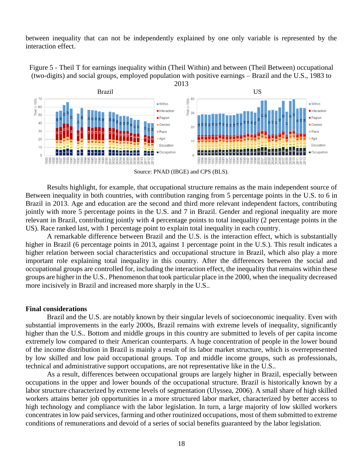between inequality that can not be independently explained by one only variable is represented by the interaction effect.

Figure 5 - Theil T for earnings inequality within (Theil Within) and between (Theil Between) occupational (two-digits) and social groups, employed population with positive earnings – Brazil and the U.S., 1983 to 2013



Source: PNAD (IBGE) and CPS (BLS).

Results highlight, for example, that occupational structure remains as the main independent source of Between inequality in both countries, with contribution ranging from 5 percentage points in the U.S. to 6 in Brazil in 2013. Age and education are the second and third more relevant independent factors, contributing jointly with more 5 percentage points in the U.S. and 7 in Brazil. Gender and regional inequality are more relevant in Brazil, contributing jointly with 4 percentage points to total inequality (2 percentage points in the US). Race ranked last, with 1 percentage point to explain total inequality in each country.

A remarkable difference between Brazil and the U.S. is the interaction effect, which is substantially higher in Brazil (6 percentage points in 2013, against 1 percentage point in the U.S.). This result indicates a higher relation between social characteristics and occupational structure in Brazil, which also play a more important role explaining total inequality in this country. After the differences between the social and occupational groups are controlled for, including the interaction effect, the inequality that remains within these groups are higher in the U.S.. Phenomenon that took particular place in the 2000, when the inequality decreased more incisively in Brazil and increased more sharply in the U.S..

#### **Final considerations**

Brazil and the U.S. are notably known by their singular levels of socioeconomic inequality. Even with substantial improvements in the early 2000s, Brazil remains with extreme levels of inequality, significantly higher than the U.S.. Bottom and middle groups in this country are submitted to levels of per capita income extremely low compared to their American counterparts. A huge concentration of people in the lower bound of the income distribution in Brazil is mainly a result of its labor market structure, which is overrepresented by low skilled and low paid occupational groups. Top and middle income groups, such as professionals, technical and administrative support occupations, are not representative like in the U.S..

As a result, differences between occupational groups are largely higher in Brazil, especially between occupations in the upper and lower bounds of the occupational structure. Brazil is historically known by a labor structure characterized by extreme levels of segmentation (Ulyssea, 2006). A small share of high skilled workers attains better job opportunities in a more structured labor market, characterized by better access to high technology and compliance with the labor legislation. In turn, a large majority of low skilled workers concentrates in low paid services, farming and other routinized occupations, most of them submitted to extreme conditions of remunerations and devoid of a series of social benefits guaranteed by the labor legislation.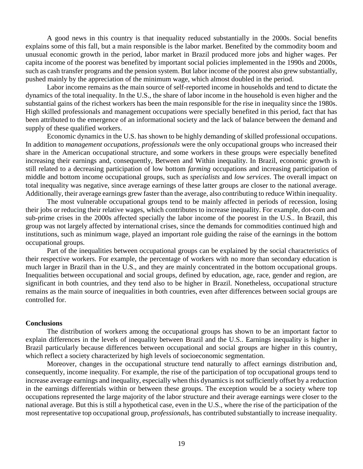A good news in this country is that inequality reduced substantially in the 2000s. Social benefits explains some of this fall, but a main responsible is the labor market. Benefited by the commodity boom and unusual economic growth in the period, labor market in Brazil produced more jobs and higher wages. Per capita income of the poorest was benefited by important social policies implemented in the 1990s and 2000s, such as cash transfer programs and the pension system. But labor income of the poorest also grew substantially, pushed mainly by the appreciation of the minimum wage, which almost doubled in the period.

Labor income remains as the main source of self-reported income in households and tend to dictate the dynamics of the total inequality. In the U.S., the share of labor income in the household is even higher and the substantial gains of the richest workers has been the main responsible for the rise in inequality since the 1980s. High skilled professionals and management occupations were specially benefited in this period, fact that has been attributed to the emergence of an informational society and the lack of balance between the demand and supply of these qualified workers.

Economic dynamics in the U.S. has shown to be highly demanding of skilled professional occupations. In addition to *management occupations*, *professionals* were the only occupational groups who increased their share in the American occupational structure, and some workers in these groups were especially benefited increasing their earnings and, consequently, Between and Within inequality. In Brazil, economic growth is still related to a decreasing participation of low bottom *farming* occupations and increasing participation of middle and bottom income occupational groups, such as *specialists* and *low services*. The overall impact on total inequality was negative, since average earnings of these latter groups are closer to the national average. Additionally, their average earnings grew faster than the average, also contributing to reduce Within inequality.

The most vulnerable occupational groups tend to be mainly affected in periods of recession, losing their jobs or reducing their relative wages, which contributes to increase inequality. For example, dot-com and sub-prime crises in the 2000s affected specially the labor income of the poorest in the U.S.. In Brazil, this group was not largely affected by international crises, since the demands for commodities continued high and institutions, such as minimum wage, played an important role guiding the raise of the earnings in the bottom occupational groups.

Part of the inequalities between occupational groups can be explained by the social characteristics of their respective workers. For example, the percentage of workers with no more than secondary education is much larger in Brazil than in the U.S., and they are mainly concentrated in the bottom occupational groups. Inequalities between occupational and social groups, defined by education, age, race, gender and region, are significant in both countries, and they tend also to be higher in Brazil. Nonetheless, occupational structure remains as the main source of inequalities in both countries, even after differences between social groups are controlled for.

#### **Conclusions**

The distribution of workers among the occupational groups has shown to be an important factor to explain differences in the levels of inequality between Brazil and the U.S.. Earnings inequality is higher in Brazil particularly because differences between occupational and social groups are higher in this country, which reflect a society characterized by high levels of socioeconomic segmentation.

Moreover, changes in the occupational structure tend naturally to affect earnings distribution and, consequently, income inequality. For example, the rise of the participation of top occupational groups tend to increase average earnings and inequality, especially when this dynamics is not sufficiently offset by a reduction in the earnings differentials within or between these groups. The exception would be a society where top occupations represented the large majority of the labor structure and their average earnings were closer to the national average. But this is still a hypothetical case, even in the U.S., where the rise of the participation of the most representative top occupational group, *professionals*, has contributed substantially to increase inequality.